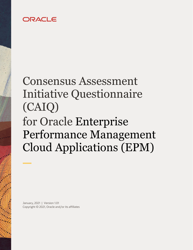## ORACLE

# Consensus Assessment Initiative Questionnaire (CAIQ) for Oracle Enterprise Performance Management Cloud Applications (EPM)

 January, 2021 | Version 1.01 Copyright © 2021, Oracle and/or its affiliates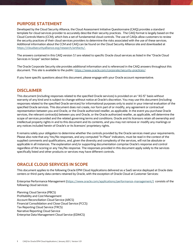#### <span id="page-1-0"></span>**PURPOSE STATEMENT**

 template for cloud services provider to accurately describe their security practices. The CAIQ format is largely based on the Cloud Controls Matrix (CCM), which lists a set of fundamental cloud controls. The use of CAIQs allow customers to review the security practices of their cloud services providers to determine the risks associated with the use of these services. Additional information about the CCM and CAIQ can be found on the Cloud Security Alliance site and downloaded at Developed by the Cloud Security Alliance, the Cloud Assessment Initiative Questionnaire (CAIQ) provides a standard [https://cloudsecurityalliance.org/research/artifacts/.](https://cloudsecurityalliance.org/research/artifacts/)

 The answers contained in this CAIQ version 3.1 are related to specific Oracle cloud services as listed in the "Oracle Cloud Services in Scope" section below.

 The Oracle Corporate Security site provides additional information and is referenced in the CAIQ answers throughout this document. This site is available to the public: [https://www.oracle.com/corporate/security-practices/.](https://www.oracle.com/corporate/security-practices/) 

If you have specific questions about this document, please engage with your Oracle account representative.

#### **DISCLAIMER**

 This document (including responses related to the specified Oracle services) is provided on an "AS IS" basis without warranty of any kind and is subject to change without notice at Oracle's discretion. You may use this document (including responses related to the specified Oracle services) for informational purposes only to assist in your internal evaluation of the specified Oracle services. This document does not create, nor form part of or modify, any agreement or contractual representation between you and Oracle, or the Oracle authorized reseller, as applicable. In the event you purchase Oracle services, the relevant contract(s) between you and Oracle, or the Oracle authorized reseller, as applicable, will determine the scope of services provided and the related governing terms and conditions. Oracle and its licensors retain all ownership and intellectual property rights in and to this document and its contents, and you may not remove or modify any markings or any notices included herein of Oracle's or its licensors' proprietary rights.

 It remains solely your obligation to determine whether the controls provided by the Oracle services meet your requirements. Please also note that any Yes/No responses, and any computed "In Place" indicators, must be read in the context of the supplied comments and qualifications, and, given the diversity and complexity of the services, will not be absolute or applicable in all instances. The explanation and/or supporting documentation comprise Oracle's response and control regardless of the scoring or any Yes/No response. The responses provided in this document apply solely to the services specifically listed and other products or services may have different controls.

#### **ORACLE CLOUD SERVICES IN SCOPE**

 This document applies to the following Oracle EPM Cloud Applications delivered as a SaaS service deployed at Oracle data centers or third-party data centers retained by Oracle, with the exception of Oracle Cloud at Customer Services:

 Enterprise Performance Management [\(https://www.oracle.com/applications/performance-management/\)](https://www.oracle.com/applications/performance-management/) consists of the following cloud services:

 Profitability and Cost Management Financial Consolidation and Close Cloud Service (FCCS) Tax Reporting Cloud Service (TRCS) Narrative Reporting Cloud Service Enterprise Data Management Cloud Service (EDMCS) Planning Cloud Service (PBCS) Account Reconciliation Cloud Service (ARCS)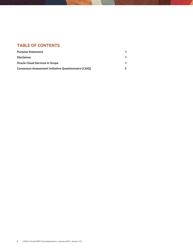#### **TABLE OF CONTENTS**

| <b>Purpose Statement</b>                                    |  |
|-------------------------------------------------------------|--|
| <b>Disclaimer</b>                                           |  |
| <b>Oracle Cloud Services in Scope</b>                       |  |
| <b>Consensus Assessment Initiative Questionnaire (CAIQ)</b> |  |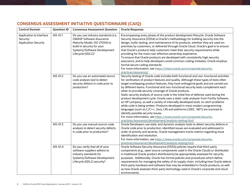| <b>Control Domain</b>                                               | <b>Question ID</b> | <b>Consensus Assessment Question</b>                                                                                                                                                       | <b>Oracle Response</b>                                                                                                                                                                                                                                                                                                                                                                                                                                                                                                                                                                                                                                                                                                                                                                                                                                                                                                                                                                                                            |
|---------------------------------------------------------------------|--------------------|--------------------------------------------------------------------------------------------------------------------------------------------------------------------------------------------|-----------------------------------------------------------------------------------------------------------------------------------------------------------------------------------------------------------------------------------------------------------------------------------------------------------------------------------------------------------------------------------------------------------------------------------------------------------------------------------------------------------------------------------------------------------------------------------------------------------------------------------------------------------------------------------------------------------------------------------------------------------------------------------------------------------------------------------------------------------------------------------------------------------------------------------------------------------------------------------------------------------------------------------|
| Application & Interface<br>Security:<br><b>Application Security</b> | AIS-01.1           | Do you use industry standards (i.e.<br><b>OWASP Software Assurance</b><br>Maturity Model, ISO 27034) to<br>build in security for your<br>Systems/Software Development<br>Lifecycle (SDLC)? | Encompassing every phase of the product development lifecycle, Oracle Software<br>Security Assurance (OSSA) is Oracle's methodology for building security into the<br>design, build, testing, and maintenance of its products, whether they are used on-<br>premises by customers, or delivered through Oracle Cloud. Oracle's goal is to ensure<br>that Oracle's products help customers meet their security requirements while<br>providing for the most cost-effective ownership experience.<br>To ensure that Oracle products are developed with consistently high security<br>assurance, and to help developers avoid common coding mistakes, Oracle employs<br>formal secure coding standards.<br>For more information, see https://www.oracle.com/corporate/security-<br>practices/assurance/                                                                                                                                                                                                                              |
|                                                                     | AIS-01.2           | Do you use an automated source<br>code analysis tool to detect<br>security defects in code prior to<br>production?                                                                         | Security testing of Oracle code includes both functional and non-functional activities<br>for verification of product features and quality. Although these types of tests often<br>target overlapping product features, they have orthogonal goals and are carried out<br>by different teams. Functional and non-functional security tests complement each<br>other to provide security coverage of Oracle products.<br>Static security analysis of source code is the initial line of defense used during the<br>product development cycle. Oracle uses a static code analyzer from Fortify Software,<br>an HP company, as well a variety of internally developed tools, to catch problems<br>while code is being written. Products developed in most modern programming<br>languages (such as C/C++, Java, C#) and platforms (J2EE, .NET) are scanned to<br>identify possible security issues.<br>For more information, see https://www.oracle.com/corporate/security-<br>practices/assurance/development/analysis-testing.html |
|                                                                     | AIS-01.3           | Do you use manual source-code<br>analysis to detect security defects<br>in code prior to production?                                                                                       | Oracle Developers use static and dynamic analysis tools to detect security defects in<br>Oracle code prior to production. Identified issues are evaluated and addressed in<br>order of priority and severity. Oracle management tracks metrics regarding issue<br>identification and resolution.<br>For more information, see https://www.oracle.com/corporate/security-<br>practices/assurance/development/analysis-testing.html                                                                                                                                                                                                                                                                                                                                                                                                                                                                                                                                                                                                 |
|                                                                     | AIS-01.4           | Do you verify that all of your<br>software suppliers adhere to<br>industry standards for<br>Systems/Software Development<br>Lifecycle (SDLC) security?                                     | Oracle Software Security Assurance (OSSA) policies require that third-party<br>components (e.g., open source components used in the Oracle Clouds or distributed<br>in traditional Oracle product distributions) be appropriately assessed for security<br>purposes. Additionally, Oracle has formal policies and procedures which define<br>requirements for managing the safety of its supply chain, including how Oracle selects<br>third-party hardware and software that may be embedded in Oracle products, as well<br>as how Oracle assesses third-party technology used in Oracle's corporate and cloud<br>environments.                                                                                                                                                                                                                                                                                                                                                                                                  |

### **CONSENSUS ASSESSMENT INITIATIVE QUESTIONNAIRE (CAIQ)**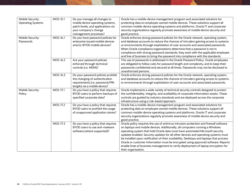| Mobile Security:<br><b>Operating Systems</b> | MOS-15.1 | Do you manage all changes to<br>mobile device operating systems,<br>patch levels, and applications via<br>your company's change<br>management processes? | Oracle has a mobile-device management program and associated solutions for<br>protecting data on employee-owned mobile devices. These solutions support all<br>common mobile-device operating systems and platforms. Oracle IT and corporate<br>security organizations regularly promote awareness of mobile device security and<br>good practice.                                                                                                                                                                                                                                                                                        |
|----------------------------------------------|----------|----------------------------------------------------------------------------------------------------------------------------------------------------------|-------------------------------------------------------------------------------------------------------------------------------------------------------------------------------------------------------------------------------------------------------------------------------------------------------------------------------------------------------------------------------------------------------------------------------------------------------------------------------------------------------------------------------------------------------------------------------------------------------------------------------------------|
| Mobile Security:<br>Passwords                | MOS-16.1 | Do you have password policies for<br>enterprise issued mobile devices<br>and/or BYOD mobile devices?                                                     | Oracle enforces strong password policies for the Oracle network, operating system,<br>and database accounts to reduce the chances of intruders gaining access to systems<br>or environments through exploitation of user accounts and associated passwords.<br>When Oracle compliance organizations determine that a password is not in<br>compliance with strong password standards, they work with the applicable employee<br>and line of business to bring the password into compliance with the standards.                                                                                                                            |
|                                              | MOS-16.2 | Are your password policies<br>enforced through technical<br>controls (i.e. MDM)?                                                                         | The use of passwords is addressed in the Oracle Password Policy. Oracle employees<br>are obligated to follow rules for password length and complexity, and to keep their<br>passwords confidential and secured at all times. Passwords may not be disclosed to<br>unauthorized persons.                                                                                                                                                                                                                                                                                                                                                   |
|                                              | MOS-16.3 | Do your password policies prohibit<br>the changing of authentication<br>requirements (i.e. password/PIN<br>length) via a mobile device?                  | Oracle enforces strong password policies for the Oracle network, operating system,<br>and database accounts to reduce the chances of intruders gaining access to systems<br>or environments through exploitation of user accounts and associated passwords.                                                                                                                                                                                                                                                                                                                                                                               |
| Mobile Security:<br>Policy                   | MOS-17.1 | Do you have a policy that requires<br>BYOD users to perform backups of<br>specified corporate data?                                                      | Oracle implements a wide variety of technical security controls designed to protect<br>the confidentiality, integrity, and availability of corporate information assets. These<br>controls are guided by industry standards and are deployed across the corporate<br>infrastructure using a risk-based approach.                                                                                                                                                                                                                                                                                                                          |
|                                              | MOS-17.2 | Do you have a policy that requires<br>BYOD users to prohibit the usage<br>of unapproved application stores?                                              | Oracle has a mobile-device management program and associated solutions for<br>protecting data on employee-owned mobile devices. These solutions support all<br>common mobile-device operating systems and platforms. Oracle IT and corporate<br>security organizations regularly promote awareness of mobile device security and<br>good practice.                                                                                                                                                                                                                                                                                        |
|                                              | MOS-17.3 | Do you have a policy that requires<br>BYOD users to use anti-malware<br>software (where supported)?                                                      | Oracle policy requires the use of antivirus intrusion protection and firewall software<br>on laptops and mobile devices. Additionally, all computers running a Windows<br>operating system that hold Oracle data must have automated Microsoft security<br>updates enabled. Security updates for all other devices and operating systems must<br>be installed upon notification of their availability. Desktops and laptops that process<br>Oracle or customer information must be encrypted using approved software. Reports<br>enable lines of business management to verify deployment of laptop encryption for<br>their organization. |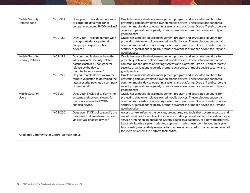| Mobile Security:<br>Remote Wipe               | MOS-18.1 | Does your IT provide remote wipe<br>or corporate data wipe for all<br>company-accepted BYOD devices?                                                        | Oracle has a mobile-device management program and associated solutions for<br>protecting data on employee-owned mobile devices. These solutions support all<br>common mobile-device operating systems and platforms. Oracle IT and corporate<br>security organizations regularly promote awareness of mobile device security and<br>good practice.                                                                                                                                                              |  |
|-----------------------------------------------|----------|-------------------------------------------------------------------------------------------------------------------------------------------------------------|-----------------------------------------------------------------------------------------------------------------------------------------------------------------------------------------------------------------------------------------------------------------------------------------------------------------------------------------------------------------------------------------------------------------------------------------------------------------------------------------------------------------|--|
|                                               | MOS-18.2 | Does your IT provide remote wipe<br>or corporate data wipe for all<br>company-assigned mobile<br>devices?                                                   | Oracle has a mobile-device management program and associated solutions for<br>protecting data on employee-owned mobile devices. These solutions support all<br>common mobile-device operating systems and platforms. Oracle IT and corporate<br>security organizations regularly promote awareness of mobile device security and<br>good practice.                                                                                                                                                              |  |
| Mobile Security:<br><b>Security Patches</b>   | MOS-19.1 | Do your mobile devices have the<br>latest available security-related<br>patches installed upon general<br>release by the device<br>manufacturer or carrier? | Oracle has a mobile-device management program and associated solutions for<br>protecting data on employee-owned mobile devices. These solutions support all<br>common mobile-device operating systems and platforms. Oracle IT and corporate<br>security organizations regularly promote awareness of mobile device security and<br>good practice.                                                                                                                                                              |  |
|                                               | MOS-19.2 | Do your mobile devices allow for<br>remote validation to download the<br>latest security patches by company<br>IT personnel?                                | Oracle has a mobile-device management program and associated solutions for<br>protecting data on employee-owned mobile devices. These solutions support all<br>common mobile-device operating systems and platforms. Oracle IT and corporate<br>security organizations regularly promote awareness of mobile device security and<br>good practice.                                                                                                                                                              |  |
| Mobile Security:<br><b>Users</b>              | MOS-20.1 | Does your BYOD policy clarify the<br>systems and servers allowed for<br>use or access on the BYOD-<br>enabled device?                                       | Oracle has a mobile-device management program and associated solutions for<br>protecting data on employee-owned mobile devices. These solutions support all<br>common mobile-device operating systems and platforms. Oracle IT and corporate<br>security organizations regularly promote awareness of mobile device security and<br>good practice.                                                                                                                                                              |  |
|                                               | MOS-20.2 | Does your BYOD policy specify the<br>user roles that are allowed access<br>via a BYOD-enabled device?                                                       | Access control refers to the policies, procedures, and tools that govern access to and<br>use of resources. Examples of resources include a physical server, a file, a directory, a<br>service running on an operating system, a table in a database, or a network protocol.<br>Least privilege is a system-oriented approach in which user permissions and system<br>functionality are carefully evaluated and access is restricted to the resources required<br>for users or systems to perform their duties. |  |
| Additional Comments for Control Domain above: |          |                                                                                                                                                             |                                                                                                                                                                                                                                                                                                                                                                                                                                                                                                                 |  |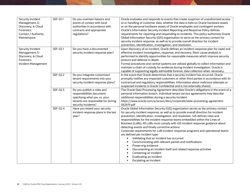| Security Incident<br>Management, E-<br>Discovery, & Cloud<br>Forensics:<br>Contact / Authority<br>Maintenance | SEF-01.1 | Do you maintain liaisons and<br>points of contact with local<br>authorities in accordance with<br>contracts and appropriate<br>regulations?          | Oracle evaluates and responds to events that create suspicion of unauthorized access<br>to or handling of customer data, whether the data is held on Oracle hardware assets<br>or on the personal hardware assets of Oracle employees and contingent workers.<br>Oracle's Information Security Incident Reporting and Response Policy defines<br>requirements for reporting and responding to incidents. This policy authorizes Oracle<br>Global Information Security (GIS) organization to serve as the primary contact for<br>security incident response, as well as to provide overall direction for incident<br>prevention, identification, investigation, and resolution.                                                                                                                                                                                                                        |
|---------------------------------------------------------------------------------------------------------------|----------|------------------------------------------------------------------------------------------------------------------------------------------------------|-------------------------------------------------------------------------------------------------------------------------------------------------------------------------------------------------------------------------------------------------------------------------------------------------------------------------------------------------------------------------------------------------------------------------------------------------------------------------------------------------------------------------------------------------------------------------------------------------------------------------------------------------------------------------------------------------------------------------------------------------------------------------------------------------------------------------------------------------------------------------------------------------------|
| Security Incident<br>Management, E-<br>Discovery, & Cloud<br>Forensics:<br>Incident Management                | SEF-02.1 | Do you have a documented<br>security incident response plan?                                                                                         | Upon discovery of an incident, Oracle defines an incident-response plan for rapid and<br>effective incident investigation, response, and recovery. Root-cause analysis is<br>performed to identify opportunities for reasonable measures which improve security<br>posture and defense in depth.<br>Formal procedures and central systems are utilized globally to collect information and<br>maintain a chain of custody for evidence during incident investigation. Oracle is<br>capable of supporting legally admissible forensic data collection when necessary.                                                                                                                                                                                                                                                                                                                                  |
|                                                                                                               | SEF-02.2 | Do you integrate customized<br>tenant requirements into your<br>security incident response plans?                                                    | In the event that Oracle determines that a security incident has occurred, Oracle<br>promptly notifies any impacted customers or other third parties in accordance with its<br>contractual and regulatory responsibilities. Information about malicious attempts or<br>suspected incidents is Oracle Confidential and is not externally shared.                                                                                                                                                                                                                                                                                                                                                                                                                                                                                                                                                       |
|                                                                                                               | SEF-02.3 | Do you publish a roles and<br>responsibilities document<br>specifying what you vs. your<br>tenants are responsible for during<br>security incidents? | The Oracle Data Processing Agreement describes Oracle's obligations in the event of a<br>personal information breach. Individual tenant service agreements may describe<br>additional responsibilities during a security incident.<br>https://www.oracle.com/a/ocom/docs/corporate/data-processing-agreement-<br>062619.pdf                                                                                                                                                                                                                                                                                                                                                                                                                                                                                                                                                                           |
|                                                                                                               | SEF-02.4 | Have you tested your security<br>incident response plans in the last<br>year?                                                                        | Oracle Global Information Security (GIS) organization serves as the primary contact<br>for security incident response, as well as to provide overall direction for incident<br>prevention, identification, investigation, and resolution. GIS defines roles and<br>responsibilities for the incident response teams embedded within the Lines of<br>Business (LoBs). All LoBs must comply with GIS incident response guidance about<br>detecting events and timely corrective actions.<br>Corporate requirements for LoB incident-response programs and operational teams<br>are defined per incident type:<br>Validating that an incident has occurred<br>Communicating with relevant parties and notifications<br>Preserving evidence<br>$\bullet$<br>Documenting an incident itself and related response activities<br>Containing an incident<br>Eradicating an incident<br>Escalating an incident |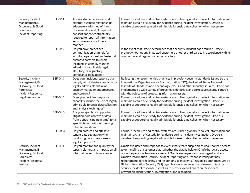| Security Incident<br>Management, E-<br>Discovery, & Cloud<br>Forensics:<br><b>Incident Reporting</b>                     | SEF-03.1 | Are workforce personnel and<br>external business relationships<br>adequately informed of their<br>responsibility, and, if required,<br>consent and/or contractually<br>required to report all information<br>security events in a timely<br>manner? | Formal procedures and central systems are utilized globally to collect information and<br>maintain a chain of custody for evidence during incident investigation. Oracle is<br>capable of supporting legally admissible forensic data collection when necessary.                                                                                                                                                                                                                                                                                                                                                                                                               |
|--------------------------------------------------------------------------------------------------------------------------|----------|-----------------------------------------------------------------------------------------------------------------------------------------------------------------------------------------------------------------------------------------------------|--------------------------------------------------------------------------------------------------------------------------------------------------------------------------------------------------------------------------------------------------------------------------------------------------------------------------------------------------------------------------------------------------------------------------------------------------------------------------------------------------------------------------------------------------------------------------------------------------------------------------------------------------------------------------------|
|                                                                                                                          | SEF-03.2 | Do you have predefined<br>communication channels for<br>workforce personnel and external<br>business partners to report<br>incidents in a timely manner<br>adhering to applicable legal,<br>statutory, or regulatory<br>compliance obligations?     | In the event that Oracle determines that a security incident has occurred, Oracle<br>promptly notifies any impacted customers or other third parties in accordance with its<br>contractual and regulatory responsibilities.                                                                                                                                                                                                                                                                                                                                                                                                                                                    |
| Security Incident<br>Management, E-<br>Discovery, & Cloud<br>Forensics:<br>Incident Response<br><b>Legal Preparation</b> | SEF-04.1 | Does your incident response plan<br>comply with industry standards for<br>legally admissible chain-of-<br>custody management processes<br>and controls?                                                                                             | Reflecting the recommended practices in prevalent security standards issued by the<br>International Organization for Standardization (ISO), the United States National<br>Institute of Standards and Technology (NIST), and other industry sources, Oracle has<br>implemented a wide variety of preventive, detective, and corrective security controls<br>with the objective of protecting information assets.                                                                                                                                                                                                                                                                |
|                                                                                                                          | SEF-04.2 | Does your incident response<br>capability include the use of legally<br>admissible forensic data collection<br>and analysis techniques?                                                                                                             | Formal procedures and central systems are utilized globally to collect information and<br>maintain a chain of custody for evidence during incident investigation. Oracle is<br>capable of supporting legally admissible forensic data collection when necessary.                                                                                                                                                                                                                                                                                                                                                                                                               |
|                                                                                                                          | SEF-04.3 | Are you capable of supporting<br>litigation holds (freeze of data<br>from a specific point in time) for a<br>specific tenant without freezing<br>other tenant data?                                                                                 | Formal procedures and central systems are utilized globally to collect information and<br>maintain a chain of custody for evidence during incident investigation. Oracle is<br>capable of supporting legally admissible forensic data collection when necessary.                                                                                                                                                                                                                                                                                                                                                                                                               |
|                                                                                                                          | SEF-04.4 | Do you enforce and attest to<br>tenant data separation when<br>producing data in response to<br>legal subpoenas?                                                                                                                                    | Formal procedures and central systems are utilized globally to collect information and<br>maintain a chain of custody for evidence during incident investigation. Oracle is<br>capable of supporting legally admissible forensic data collection when necessary.                                                                                                                                                                                                                                                                                                                                                                                                               |
| Security Incident<br>Management, E-<br>Discovery, & Cloud<br>Forensics:<br>Incident Response<br>Metrics                  | SEF-05.1 | Do you monitor and quantify the<br>types, volumes, and impacts on all<br>information security incidents?                                                                                                                                            | Oracle evaluates and responds to events that create suspicion of unauthorized access<br>to or handling of customer data, whether the data is held on Oracle hardware assets<br>or on the personal hardware assets of Oracle employees and contingent workers.<br>Oracle's Information Security Incident Reporting and Response Policy defines<br>requirements for reporting and responding to incidents. This policy authorizes Oracle<br>Global Information Security (GIS) organization to serve as the primary contact for<br>security incident response, as well as to provide overall direction for incident<br>prevention, identification, investigation, and resolution. |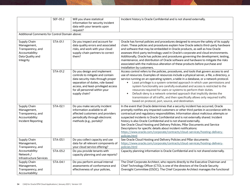|                                                                                                      | SEF-05.2             | Will you share statistical<br>information for security incident<br>data with your tenants upon<br>request?                                                                                                                         | Incident history is Oracle Confidential and is not shared externally.                                                                                                                                                                                                                                                                                                                                                                                                                                                                                                                                                                                                                                                                                       |
|------------------------------------------------------------------------------------------------------|----------------------|------------------------------------------------------------------------------------------------------------------------------------------------------------------------------------------------------------------------------------|-------------------------------------------------------------------------------------------------------------------------------------------------------------------------------------------------------------------------------------------------------------------------------------------------------------------------------------------------------------------------------------------------------------------------------------------------------------------------------------------------------------------------------------------------------------------------------------------------------------------------------------------------------------------------------------------------------------------------------------------------------------|
| Additional Comments for Control Domain above:                                                        |                      |                                                                                                                                                                                                                                    |                                                                                                                                                                                                                                                                                                                                                                                                                                                                                                                                                                                                                                                                                                                                                             |
| Supply Chain<br>Management,<br>Transparency, and<br>Accountability:<br>Data Quality and<br>Integrity | STA-01.1             | Do you inspect and account for<br>data quality errors and associated<br>risks, and work with your cloud<br>supply-chain partners to correct<br>them?                                                                               | Oracle has formal policies and procedures designed to ensure the safety of its supply<br>chain. These policies and procedures explain how Oracle selects third-party hardware<br>and software that may be embedded in Oracle products, as well as how Oracle<br>assesses third-party technology used in Oracle's corporate and cloud environments.<br>Additionally, Oracle has policies and procedures governing the development, testing,<br>maintenance, and distribution of Oracle software and hardware to mitigate the risks<br>associated with the malicious alteration of these products before purchase and<br>installation by customers.                                                                                                           |
|                                                                                                      | STA-01.2             | Do you design and implement<br>controls to mitigate and contain<br>data security risks through proper<br>separation of duties, role-based<br>access, and least-privileged access<br>for all personnel within your<br>supply chain? | Access control refers to the policies, procedures, and tools that govern access to and<br>use of resources. Examples of resources include a physical server, a file, a directory, a<br>service running on an operating system, a table in a database, or a network protocol.<br>Least privilege is a system-oriented approach in which user permissions and<br>$\bullet$<br>system functionality are carefully evaluated and access is restricted to the<br>resources required for users or systems to perform their duties.<br>Default-deny is a network-oriented approach that implicitly denies the<br>$\bullet$<br>transmission of all traffic, and then specifically allows only required traffic<br>based on protocol, port, source, and destination. |
| Supply Chain<br>Management,<br>Transparency, and<br>Accountability:<br><b>Incident Reporting</b>     | STA-02.1             | Do you make security incident<br>information available to all<br>affected customers and providers<br>periodically through electronic<br>methods (e.g., portals)?                                                                   | In the event that Oracle determines that a security incident has occurred, Oracle<br>promptly notifies any impacted customers or other third parties in accordance with its<br>contractual and regulatory responsibilities. Information about malicious attempts or<br>suspected incidents is Oracle Confidential and is not externally shared. Incident<br>history is also Oracle Confidential and is not shared externally.<br>See Oracle Cloud Hosting and Delivery Policies, Pillar Documents and Service<br>Descriptions for specific details about incident notifications:<br>https://www.oracle.com/corporate/contracts/cloud-services/hosting-delivery-<br>policies.html                                                                            |
| Supply Chain<br>Management,<br>Transparency, and<br>Accountability:                                  | STA-03.1<br>STA-03.2 | Do you collect capacity and use<br>data for all relevant components of<br>your cloud service offering?<br>Do you provide tenants with                                                                                              | See Oracle Cloud Hosting and Delivery Policies and Pillar documents:<br>https://www.oracle.com/corporate/contracts/cloud-services/hosting-delivery-<br>policies.html<br>Capacity planning information is Oracle Confidential and is not shared externally.                                                                                                                                                                                                                                                                                                                                                                                                                                                                                                  |
| Network /<br>Infrastructure Services                                                                 |                      | capacity planning and use reports?                                                                                                                                                                                                 |                                                                                                                                                                                                                                                                                                                                                                                                                                                                                                                                                                                                                                                                                                                                                             |
| Supply Chain<br>Management,<br>Transparency, and<br>Accountability:                                  | STA-04.1             | Do you perform annual internal<br>assessments of conformance and<br>effectiveness of your policies,                                                                                                                                | The Chief Corporate Architect, who reports directly to the Executive Chairman and<br>Chief Technology Officer (CTO), is one of the directors of the Oracle Security<br>Oversight Committee (OSOC). The Chief Corporate Architect manages the functional                                                                                                                                                                                                                                                                                                                                                                                                                                                                                                     |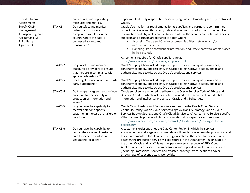| Provider Internal<br>Assessments                                                                        |          | procedures, and supporting<br>measures and metrics?                                                                                                        | departments directly responsible for identifying and implementing security controls at<br>Oracle.                                                                                                                                                                                                                                                                                                                                                                                                                                                                                                                                                       |
|---------------------------------------------------------------------------------------------------------|----------|------------------------------------------------------------------------------------------------------------------------------------------------------------|---------------------------------------------------------------------------------------------------------------------------------------------------------------------------------------------------------------------------------------------------------------------------------------------------------------------------------------------------------------------------------------------------------------------------------------------------------------------------------------------------------------------------------------------------------------------------------------------------------------------------------------------------------|
| Supply Chain<br>Management,<br>Transparency, and<br>Accountability:<br><b>Third Party</b><br>Agreements | STA-05.1 | Do you select and monitor<br>outsourced providers in<br>compliance with laws in the<br>country where the data is<br>processed, stored, and<br>transmitted? | Oracle also has formal requirements for its suppliers and partners to confirm they<br>protect the Oracle and third-party data and assets entrusted to them. The Supplier<br>Information and Physical Security Standards detail the security controls that Oracle's<br>suppliers and partners are required to adopt when:<br>Accessing Oracle and Oracle customers' facilities, networks and/or<br>information systems<br>Handling Oracle confidential information, and Oracle hardware assets placed<br>$\bullet$<br>in their custody                                                                                                                   |
|                                                                                                         |          |                                                                                                                                                            | Agreements required for Oracle suppliers are at:<br>https://www.oracle.com/corporate/suppliers.html                                                                                                                                                                                                                                                                                                                                                                                                                                                                                                                                                     |
|                                                                                                         | STA-05.2 | Do you select and monitor<br>outsourced providers to ensure<br>that they are in compliance with<br>applicable legislation?                                 | Oracle's Supply Chain Risk Management practices focus on quality, availability,<br>continuity of supply, and resiliency in Oracle's direct hardware supply chain, and<br>authenticity, and security across Oracle's products and services.                                                                                                                                                                                                                                                                                                                                                                                                              |
|                                                                                                         | STA-05.3 | Does legal counsel review all third-<br>party agreements?                                                                                                  | Oracle's Supply Chain Risk Management practices focus on quality, availability,<br>continuity of supply, and resiliency in Oracle's direct hardware supply chain, and<br>authenticity, and security across Oracle's products and services.                                                                                                                                                                                                                                                                                                                                                                                                              |
|                                                                                                         | STA-05.4 | Do third-party agreements include<br>provision for the security and<br>protection of information and<br>assets?                                            | Oracle suppliers are required to adhere to the Oracle Supplier Code of Ethics and<br>Business Conduct, which includes policies related to the security of confidential<br>information and intellectual property of Oracle and third parties.                                                                                                                                                                                                                                                                                                                                                                                                            |
|                                                                                                         | STA-05.5 | Do you have the capability to<br>recover data for a specific<br>customer in the case of a failure or<br>data loss?                                         | Oracle Cloud Hosting and Delivery Policies describe the Oracle Cloud Service<br>Continuity Policy, Oracle Cloud Services High Availability Strategy, Oracle Cloud<br>Services Backup Strategy and Oracle Cloud Service Level Agreement. Service-specific<br>Pillar documents provide additional information about specific cloud services:<br>https://www.oracle.com/corporate/contracts/cloud-services/hosting-delivery-<br>policies.html                                                                                                                                                                                                              |
|                                                                                                         | STA-05.6 | Do you have the capability to<br>restrict the storage of customer<br>data to specific countries or<br>geographic locations?                                | A customer's order specifies the Data Center Region in which the services<br>environment and storage of customer data will reside. Oracle provides production and<br>test environments in the Data Center Region stated in the order. In the event of a<br>disaster, the production service will be restored in the Data Center Region stated in<br>the order. Oracle and its affiliates may perform certain aspects of EPM Cloud<br>Applications, such as service administration and support, as well as other Services<br>(including Professional Services and disaster recovery), from locations and/or<br>through use of subcontractors, worldwide. |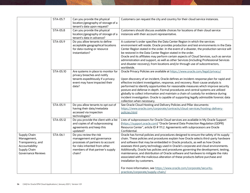|                                                                                                                  | STA-05.7  | Can you provide the physical<br>location/geography of storage of a                                                                                                      | Customers can request the city and country for their cloud service instances.                                                                                                                                                                                                                                                                                                                                                                                                                                                                                                                                                                                                                                                                                  |
|------------------------------------------------------------------------------------------------------------------|-----------|-------------------------------------------------------------------------------------------------------------------------------------------------------------------------|----------------------------------------------------------------------------------------------------------------------------------------------------------------------------------------------------------------------------------------------------------------------------------------------------------------------------------------------------------------------------------------------------------------------------------------------------------------------------------------------------------------------------------------------------------------------------------------------------------------------------------------------------------------------------------------------------------------------------------------------------------------|
|                                                                                                                  | STA-05.8  | tenant's data upon request?<br>Can you provide the physical<br>location/geography of storage of a<br>tenant's data in advance?                                          | Customers should discuss available choices for locations of their cloud service<br>instances with their account representative.                                                                                                                                                                                                                                                                                                                                                                                                                                                                                                                                                                                                                                |
|                                                                                                                  | STA-05.9  | Do you allow tenants to define<br>acceptable geographical locations<br>for data routing or resource<br>instantiation?                                                   | A customer's order specifies the Data Center Region in which the services<br>environment will reside. Oracle provides production and test environments in the Data<br>Center Region stated in the order. In the event of a disaster, the production service will<br>be restored in the Data Center Region stated in the order.<br>Oracle and its affiliates may perform certain aspects of Cloud Services, such as service<br>administration and support, as well as other Services (including Professional Services<br>and disaster recovery), from locations and/or through use of subcontractors,<br>worldwide.                                                                                                                                             |
|                                                                                                                  | STA-05.10 | Are systems in place to monitor for<br>privacy breaches and notify<br>tenants expeditiously if a privacy<br>event may have impacted their<br>data?                      | Oracle Privacy Policies are available at https://www.oracle.com/legal/privacy/<br>Upon discovery of an incident, Oracle defines an incident-response plan for rapid and<br>effective incident investigation, response, and recovery. Root-cause analysis is<br>performed to identify opportunities for reasonable measures which improve security<br>posture and defense in depth. Formal procedures and central systems are utilized<br>globally to collect information and maintain a chain of custody for evidence during<br>incident investigation. Oracle is capable of supporting legally admissible forensic data<br>collection when necessary.                                                                                                         |
|                                                                                                                  | STA-05.11 | Do you allow tenants to opt out of<br>having their data/metadata<br>accessed via inspection<br>technologies?                                                            | See Oracle Cloud Hosting and Delivery Policies and Pillar documents:<br>https://www.oracle.com/corporate/contracts/cloud-services/hosting-delivery-<br>policies.html                                                                                                                                                                                                                                                                                                                                                                                                                                                                                                                                                                                           |
|                                                                                                                  | STA-05.12 | Do you provide the client with a list<br>and copies of all subprocessing<br>agreements and keep this<br>updated?                                                        | Lists of subprocessors for Oracle Cloud services are available in My Oracle Support<br>(https://support.oracle.com) "Oracle General Data Protection Regulation (GDPR)<br>Resource Center", article ID # 111.2. Agreements with subprocesors are Oracle<br>Confidential.                                                                                                                                                                                                                                                                                                                                                                                                                                                                                        |
| Supply Chain<br>Management,<br>Transparency, and<br>Accountability:<br>Supply Chain<br><b>Governance Reviews</b> | STA-06.1  | Do you review the risk<br>management and governance<br>processes of partners to account<br>for risks inherited from other<br>members of that partner's supply<br>chain? | Oracle has formal policies and procedures designed to ensure the safety of its supply<br>chain. These policies and procedures explain how Oracle selects third-party hardware<br>and software that may be embedded in Oracle products, as well as how Oracle<br>assesses third-party technology used in Oracle's corporate and cloud environments.<br>Additionally, Oracle has policies and procedures governing the development, testing,<br>maintenance, and distribution of Oracle software and hardware to mitigate the risks<br>associated with the malicious alteration of these products before purchase and<br>installation by customers.<br>For more information, see https://www.oracle.com/corporate/security-<br>practices/corporate/supply-chain/ |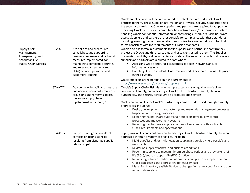|                                                                                                    |          |                                                                                                                                                                                                                                                         | Oracle suppliers and partners are required to protect the data and assets Oracle<br>entrusts to them. These Supplier Information and Physical Security Standards detail<br>the security controls that Oracle's suppliers and partners are required to adopt when<br>accessing Oracle or Oracle customer facilities, networks and/or information systems,<br>handling Oracle confidential information, or controlling custody of Oracle hardware<br>assets. Suppliers and partners are responsible for compliance with these standards,<br>including ensuring that all personnel and subcontractors are bound by contractual<br>terms consistent with the requirements of Oracle's standards.                |
|----------------------------------------------------------------------------------------------------|----------|---------------------------------------------------------------------------------------------------------------------------------------------------------------------------------------------------------------------------------------------------------|-------------------------------------------------------------------------------------------------------------------------------------------------------------------------------------------------------------------------------------------------------------------------------------------------------------------------------------------------------------------------------------------------------------------------------------------------------------------------------------------------------------------------------------------------------------------------------------------------------------------------------------------------------------------------------------------------------------|
| Supply Chain<br>Management,<br>Transparency, and<br>Accountability:<br><b>Supply Chain Metrics</b> | STA-07.1 | Are policies and procedures<br>established, and supporting<br>business processes and technical<br>measures implemented, for<br>maintaining complete, accurate,<br>and relevant agreements (e.g.,<br>SLAs) between providers and<br>customers (tenants)? | Oracle also has formal requirements for its suppliers and partners to confirm they<br>protect the Oracle and third-party data and assets entrusted to them. The Supplier<br>Information and Physical Security Standards detail the security controls that Oracle's<br>suppliers and partners are required to adopt when:<br>Accessing Oracle and Oracle customers' facilities, networks and/or<br>information systems<br>Handling Oracle confidential information, and Oracle hardware assets placed<br>in their custody                                                                                                                                                                                    |
|                                                                                                    |          |                                                                                                                                                                                                                                                         | Oracle suppliers are required to sign the agreements at<br>https://www.oracle.com/corporate/suppliers.html                                                                                                                                                                                                                                                                                                                                                                                                                                                                                                                                                                                                  |
|                                                                                                    | STA-07.2 | Do you have the ability to measure<br>and address non-conformance of<br>provisions and/or terms across<br>the entire supply chain<br>(upstream/downstream)?                                                                                             | Oracle's Supply Chain Risk Management practices focus on quality, availability,<br>continuity of supply, and resiliency in Oracle's direct hardware supply chain, and<br>authenticity, and security across Oracle's products and services.<br>Quality and reliability for Oracle's hardware systems are addressed through a variety<br>of practices, including:<br>Design, development, manufacturing and materials management processes<br>Inspection and testing processes<br>Requiring that hardware supply chain suppliers have quality control<br>processes and measurement systems<br>Requiring that hardware supply chain suppliers comply with applicable<br>Oracle requirements and specifications |
|                                                                                                    | STA-07.3 | Can you manage service-level<br>conflicts or inconsistencies<br>resulting from disparate supplier<br>relationships?                                                                                                                                     | Supply availability and continuity and resiliency in Oracle's hardware supply chain are<br>addressed through a variety of practices, including:<br>Multi-supplier and/or multi-location sourcing strategies where possible and<br>$\bullet$<br>reasonable<br>Review of supplier financial and business conditions<br>Requiring suppliers to meet minimum purchase periods and provide end-of-<br>life (EOL)/end-of-support-life (EOSL) notice<br>Requesting advance notification of product changes from suppliers so that<br>Oracle can assess and address any potential impact<br>Managing inventory availability due to changes in market conditions and due<br>to natural disasters                     |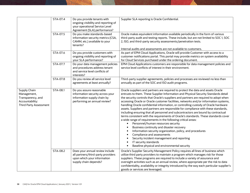| Supply Chain<br>Management,<br>Transparency, and<br>Accountability:<br><b>Third Party Assessment</b> | STA-07.4 | Do you provide tenants with<br>ongoing visibility and reporting of<br>your operational Service Level<br>Agreement (SLA) performance? | Supplier SLA reporting is Oracle Confidential.                                                                                                                                                                                                                                                                                                                                                                                                                                                                                                                                                                                                                                                                                                                                                                                                                                                                                                                                                                                                                                                                                               |
|------------------------------------------------------------------------------------------------------|----------|--------------------------------------------------------------------------------------------------------------------------------------|----------------------------------------------------------------------------------------------------------------------------------------------------------------------------------------------------------------------------------------------------------------------------------------------------------------------------------------------------------------------------------------------------------------------------------------------------------------------------------------------------------------------------------------------------------------------------------------------------------------------------------------------------------------------------------------------------------------------------------------------------------------------------------------------------------------------------------------------------------------------------------------------------------------------------------------------------------------------------------------------------------------------------------------------------------------------------------------------------------------------------------------------|
|                                                                                                      | STA-07.5 | Do you make standards-based<br>information security metrics (CSA,<br>CAMM, etc.) available to your<br>tenants?                       | Oracle makes equivalent information available periodically in the form of various<br>third-party audit and testing reports. These include, but are not limited to SOC 1, SOC<br>2, ISO, and third-party security assessments/penetration tests.<br>Internal audits and assessments are not available to customers.                                                                                                                                                                                                                                                                                                                                                                                                                                                                                                                                                                                                                                                                                                                                                                                                                           |
|                                                                                                      | STA-07.6 | Do you provide customers with<br>ongoing visibility and reporting of<br>your SLA performance?                                        | As part of EPM Cloud Applications, Oracle will provide Customer with access to a<br>customer notifications portal. This portal may provide metrics on system availability<br>for Cloud Services purchased under the ordering document.                                                                                                                                                                                                                                                                                                                                                                                                                                                                                                                                                                                                                                                                                                                                                                                                                                                                                                       |
|                                                                                                      | STA-07.7 | Do your data management policies<br>and procedures address tenant<br>and service level conflicts of<br>interests?                    | EPM Cloud Applications customers are responsible for data management policies and<br>service level conflicts of interest in their environment.                                                                                                                                                                                                                                                                                                                                                                                                                                                                                                                                                                                                                                                                                                                                                                                                                                                                                                                                                                                               |
|                                                                                                      | STA-07.8 | Do you review all service level<br>agreements at least annually?                                                                     | Third-party supplier agreements, policies and processes are reviewed no less than<br>annually as part of the SOC and ISO audit programs.                                                                                                                                                                                                                                                                                                                                                                                                                                                                                                                                                                                                                                                                                                                                                                                                                                                                                                                                                                                                     |
|                                                                                                      | STA-08.1 | Do you assure reasonable<br>information security across your<br>information supply chain by<br>performing an annual review?          | Oracle suppliers and partners are required to protect the data and assets Oracle<br>entrusts to them. These Supplier Information and Physical Security Standards detail<br>the security controls that Oracle's suppliers and partners are required to adopt when<br>accessing Oracle or Oracle customer facilities, networks and/or information systems,<br>handling Oracle confidential information, or controlling custody of Oracle hardware<br>assets. Suppliers and partners are responsible for compliance with these standards,<br>including ensuring that all personnel and subcontractors are bound by contractual<br>terms consistent with the requirements of Oracle's standards. These standards cover<br>a wide range of requirements in the following critical areas:<br>Personnel/human resources security<br>$\bullet$<br>Business continuity and disaster recovery<br>$\bullet$<br>Information security organization, policy, and procedures<br>Compliance and assessments<br>Security incident management and reporting<br>IT security standards<br>$\bullet$<br>Baseline physical and environmental security<br>$\bullet$ |
|                                                                                                      | STA-08.2 | Does your annual review include<br>all partners/third-party providers<br>upon which your information<br>supply chain depends?        | Oracle's Supplier Security Management Policy requires all lines of business which<br>utilize third party providers to maintain a program which manages risk for those<br>suppliers. These programs are required to include a variety of assurance and<br>oversight activities such as an annual review, where appropriate per the risk to data<br>confidentiality, availability or integrity introduced by the way each particular supplier's<br>goods or services are leveraged.                                                                                                                                                                                                                                                                                                                                                                                                                                                                                                                                                                                                                                                            |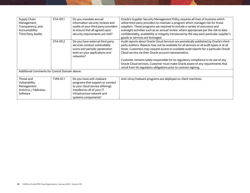| Supply Chain<br>Management,<br>Transparency, and<br>Accountability:<br><b>Third Party Audits</b> | STA-09.1 | Do you mandate annual<br>information security reviews and<br>audits of your third party providers<br>to ensure that all agreed upon<br>security requirements are met?               | Oracle's Supplier Security Management Policy requires all lines of business which<br>utilize third party providers to maintain a program which manages risk for those<br>suppliers. These programs are required to include a variety of assurance and<br>oversight activities such as an annual review, where appropriate per the risk to data<br>confidentiality, availability or integrity introduced by the way each particular supplier's<br>goods or services are leveraged.                                                                                                        |
|--------------------------------------------------------------------------------------------------|----------|-------------------------------------------------------------------------------------------------------------------------------------------------------------------------------------|------------------------------------------------------------------------------------------------------------------------------------------------------------------------------------------------------------------------------------------------------------------------------------------------------------------------------------------------------------------------------------------------------------------------------------------------------------------------------------------------------------------------------------------------------------------------------------------|
|                                                                                                  | STA-09.2 | Do you have external third party<br>services conduct vulnerability<br>scans and periodic penetration<br>tests on your applications and<br>networks?                                 | Audit reports about Oracle Cloud Services are periodically published by Oracle's third-<br>party auditors. Reports may not be available for all services or all audit types or at all<br>times. Customers may request access to available audit reports for a particular Oracle<br>Cloud service via their Oracle account representative.<br>Customer remains solely responsible for its regulatory compliance in its use of any<br>Oracle Cloud services. Customer must make Oracle aware of any requirements that<br>result from its regulatory obligations prior to contract signing. |
| Additional Comments for Control Domain above:                                                    |          |                                                                                                                                                                                     |                                                                                                                                                                                                                                                                                                                                                                                                                                                                                                                                                                                          |
| Threat and<br>Vulnerability<br>Management:<br>Antivirus / Malicious<br>Software                  | TVM-01.1 | Do you have anti-malware<br>programs that support or connect<br>to your cloud service offerings<br>installed on all of your IT<br>infrastructure network and<br>systems components? | Anti-virus/malware programs are deployed on client machines.                                                                                                                                                                                                                                                                                                                                                                                                                                                                                                                             |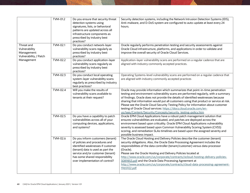|                                                                                   | TVM-01.2 | Do you ensure that security threat<br>detection systems using<br>signatures, lists, or behavioral<br>patterns are updated across all<br>infrastructure components as<br>prescribed by industry best<br>practices?                                     | Security detection systems, including the Network Intrusion Detection Systems (IDS),<br>Anti-malware, and D-DoS system are configured to auto-update at least every 24<br>hours.                                                                                                                                                                                                                                                                                                                                                                                                    |
|-----------------------------------------------------------------------------------|----------|-------------------------------------------------------------------------------------------------------------------------------------------------------------------------------------------------------------------------------------------------------|-------------------------------------------------------------------------------------------------------------------------------------------------------------------------------------------------------------------------------------------------------------------------------------------------------------------------------------------------------------------------------------------------------------------------------------------------------------------------------------------------------------------------------------------------------------------------------------|
| Threat and<br>Vulnerability<br>Management:<br>Vulnerability / Patch<br>Management | TVM-02.1 | Do you conduct network-layer<br>vulnerability scans regularly as<br>prescribed by industry best<br>practices?                                                                                                                                         | Oracle regularly performs penetration testing and security assessments against<br>Oracle Cloud infrastructure, platforms, and applications in order to validate and<br>improve the overall security of Oracle Cloud Services.                                                                                                                                                                                                                                                                                                                                                       |
|                                                                                   | TVM-02.2 | Do you conduct application-layer<br>vulnerability scans regularly as<br>prescribed by industry best<br>practices?                                                                                                                                     | Application-layer vulnerability scans are performed on a regular cadence that are<br>aligned with industry commonly accepted practices.                                                                                                                                                                                                                                                                                                                                                                                                                                             |
|                                                                                   | TVM-02.3 | Do you conduct local operating<br>system-layer vulnerability scans<br>regularly as prescribed by industry<br>best practices?                                                                                                                          | Operating Systems-level vulnerability scans are performed on a regular cadence that<br>are aligned with industry commonly accepted practices                                                                                                                                                                                                                                                                                                                                                                                                                                        |
|                                                                                   | TVM-02.4 | Will you make the results of<br>vulnerability scans available to<br>tenants at their request?                                                                                                                                                         | Oracle may provide information which summarizes that point-in-time penetration<br>testing and environment vulnerability scans are performed regularly, with a summary<br>of findings. Oracle does not provide the details of identified weaknesses because<br>sharing that information would put all customers using that product or service at risk.<br>Please see the Oracle Cloud Security Testing Policy for information about customer<br>testing of Oracle Cloud services: https://docs.cloud.oracle.com/en-<br>us/iaas/Content/Security/Concepts/security_testing-policy.htm |
|                                                                                   | TVM-02.5 | Do you have a capability to patch<br>vulnerabilities across all of your<br>computing devices, applications,<br>and systems?                                                                                                                           | Oracle EPM Cloud Applications have a robust patch management solution that<br>ensures vulnerabilities are evaluated, and patches are deployed across the<br>environment based upon criticality. Oracle EPM Cloud Applications vulnerability<br>severity is assessed based upon Common Vulnerability Scoring System (CVSS)<br>scoring, and remediation SLAs timelines are based upon the assigned severity and<br>possible business impact.                                                                                                                                          |
|                                                                                   | TVM-02.6 | Do you inform customers (tenant)<br>of policies and procedures and<br>identified weaknesses if customer<br>(tenant) data is used as part the<br>service and/or customer (tenant)<br>has some shared responsibility<br>over implementation of control? | The Oracle Cloud Hosting and Delivery Policies describe the customer (tenant)<br>security obligations. Also, the Oracle Data Processing Agreement includes the<br>responsibilities of the data controller (tenant/customer) versus data processor<br>(Oracle).<br>Please see the Oracle Hosting and Delivery Policies located at<br>http://www.oracle.com/us/corporate/contracts/ocloud-hosting-delivery-policies-<br>3089853.pdf and the Oracle Data Processing Agreement at<br>http://www.oracle.com/us/corporate/contracts/cloud-data-processing-agreement-<br>1965922.pdf       |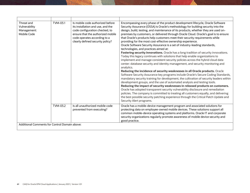| Threat and<br>Vulnerability<br>Management:<br>Mobile Code | TVM-03.1 | Is mobile code authorized before<br>its installation and use, and the<br>code configuration checked, to<br>ensure that the authorized mobile<br>code operates according to a<br>clearly defined security policy? | Encompassing every phase of the product development lifecycle, Oracle Software<br>Security Assurance (OSSA) is Oracle's methodology for building security into the<br>design, build, testing, and maintenance of its products, whether they are used on-<br>premises by customers, or delivered through Oracle Cloud. Oracle's goal is to ensure<br>that Oracle's products help customers meet their security requirements while<br>providing for the most cost-effective ownership experience.<br>Oracle Software Security Assurance is a set of industry-leading standards,<br>technologies, and practices aimed at:<br>Fostering security innovations. Oracle has a long tradition of security innovations.<br>Today this legacy continues with solutions that help enable organizations to<br>implement and manage consistent security policies across the hybrid cloud data<br>center: database security and identity management, and security monitoring and<br>analytics.<br>Reducing the incidence of security weaknesses in all Oracle products. Oracle<br>Software Security Assurance key programs include Oracle's Secure Coding Standards,<br>mandatory security training for development, the cultivation of security leaders within<br>development groups, and the use of automated analysis and testing tools.<br>Reducing the impact of security weaknesses in released products on customers.<br>Oracle has adopted transparent security vulnerability disclosure and remediation<br>policies. The company is committed to treating all customers equally, and delivering<br>the best possible security patching experience through the Critical Patch Update and<br>Security Alert programs. |  |
|-----------------------------------------------------------|----------|------------------------------------------------------------------------------------------------------------------------------------------------------------------------------------------------------------------|----------------------------------------------------------------------------------------------------------------------------------------------------------------------------------------------------------------------------------------------------------------------------------------------------------------------------------------------------------------------------------------------------------------------------------------------------------------------------------------------------------------------------------------------------------------------------------------------------------------------------------------------------------------------------------------------------------------------------------------------------------------------------------------------------------------------------------------------------------------------------------------------------------------------------------------------------------------------------------------------------------------------------------------------------------------------------------------------------------------------------------------------------------------------------------------------------------------------------------------------------------------------------------------------------------------------------------------------------------------------------------------------------------------------------------------------------------------------------------------------------------------------------------------------------------------------------------------------------------------------------------------------------------------------------------------------------------------|--|
|                                                           | TVM-03.2 | Is all unauthorized mobile code<br>prevented from executing?                                                                                                                                                     | Oracle has a mobile-device management program and associated solutions for<br>protecting data on employee-owned mobile devices. These solutions support all<br>common mobile-device operating systems and platforms. Oracle IT and corporate<br>security organizations regularly promote awareness of mobile device security and<br>good practice.                                                                                                                                                                                                                                                                                                                                                                                                                                                                                                                                                                                                                                                                                                                                                                                                                                                                                                                                                                                                                                                                                                                                                                                                                                                                                                                                                             |  |
| Additional Comments for Control Domain above:             |          |                                                                                                                                                                                                                  |                                                                                                                                                                                                                                                                                                                                                                                                                                                                                                                                                                                                                                                                                                                                                                                                                                                                                                                                                                                                                                                                                                                                                                                                                                                                                                                                                                                                                                                                                                                                                                                                                                                                                                                |  |